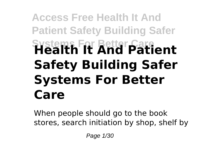# **Access Free Health It And Patient Safety Building Safer Systems For Better Care Health It And Patient Safety Building Safer Systems For Better Care**

When people should go to the book stores, search initiation by shop, shelf by

Page 1/30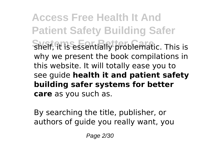**Access Free Health It And Patient Safety Building Safer Shelf, it is essentially problematic. This is** why we present the book compilations in this website. It will totally ease you to see guide **health it and patient safety building safer systems for better care** as you such as.

By searching the title, publisher, or authors of guide you really want, you

Page 2/30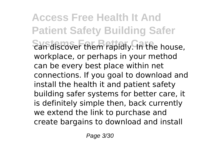**Access Free Health It And Patient Safety Building Safer** *Can discover them rapidly. In the house,* workplace, or perhaps in your method can be every best place within net connections. If you goal to download and install the health it and patient safety building safer systems for better care, it is definitely simple then, back currently we extend the link to purchase and create bargains to download and install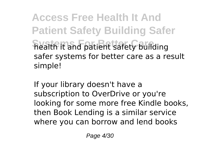**Access Free Health It And Patient Safety Building Safer Fiealth it and patient safety building** safer systems for better care as a result simple!

If your library doesn't have a subscription to OverDrive or you're looking for some more free Kindle books, then Book Lending is a similar service where you can borrow and lend books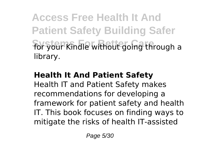**Access Free Health It And Patient Safety Building Safer** for your Kindle without going through a library.

## **Health It And Patient Safety**

Health IT and Patient Safety makes recommendations for developing a framework for patient safety and health IT. This book focuses on finding ways to mitigate the risks of health IT-assisted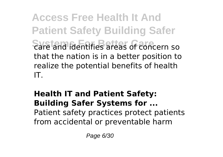**Access Free Health It And Patient Safety Building Safer Systems For Better Care** care and identifies areas of concern so that the nation is in a better position to realize the potential benefits of health IT.

#### **Health IT and Patient Safety: Building Safer Systems for ...** Patient safety practices protect patients from accidental or preventable harm

Page 6/30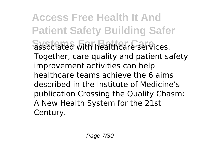**Access Free Health It And Patient Safety Building Safer Systems For Better Care** associated with healthcare services. Together, care quality and patient safety improvement activities can help healthcare teams achieve the 6 aims described in the Institute of Medicine's publication Crossing the Quality Chasm: A New Health System for the 21st Century.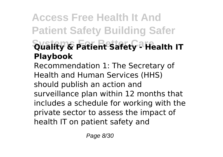# **Access Free Health It And Patient Safety Building Safer Systems For Better Care Quality & Patient Safety - Health IT Playbook**

Recommendation 1: The Secretary of Health and Human Services (HHS) should publish an action and surveillance plan within 12 months that includes a schedule for working with the private sector to assess the impact of health IT on patient safety and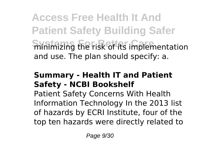**Access Free Health It And Patient Safety Building Safer Shinimizing the risk of its implementation** and use. The plan should specify: a.

## **Summary - Health IT and Patient Safety - NCBI Bookshelf**

Patient Safety Concerns With Health Information Technology In the 2013 list of hazards by ECRI Institute, four of the top ten hazards were directly related to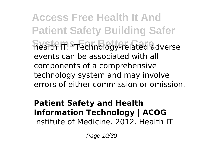**Access Free Health It And Patient Safety Building Safer Systems For Better Care** health IT. "Technology-related adverse events can be associated with all components of a comprehensive technology system and may involve errors of either commission or omission.

### **Patient Safety and Health Information Technology | ACOG** Institute of Medicine. 2012. Health IT

Page 10/30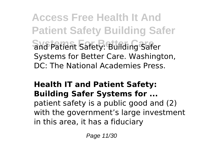**Access Free Health It And Patient Safety Building Safer** and Patient Safety: Building Safer Systems for Better Care. Washington, DC: The National Academies Press.

### **Health IT and Patient Safety: Building Safer Systems for ...**

patient safety is a public good and (2) with the government's large investment in this area, it has a fiduciary

Page 11/30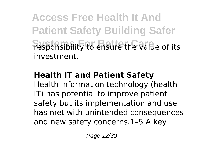**Access Free Health It And Patient Safety Building Safer Fesponsibility to ensure the value of its** investment.

## **Health IT and Patient Safety**

Health information technology (health IT) has potential to improve patient safety but its implementation and use has met with unintended consequences and new safety concerns.1–5 A key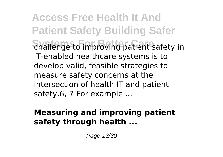**Access Free Health It And Patient Safety Building Safer Challenge to improving patient safety in** IT-enabled healthcare systems is to develop valid, feasible strategies to measure safety concerns at the intersection of health IT and patient safety.6, 7 For example ...

# **Measuring and improving patient safety through health ...**

Page 13/30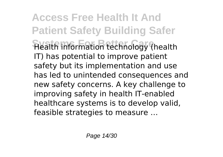**Access Free Health It And Patient Safety Building Safer Health information technology (health** IT) has potential to improve patient safety but its implementation and use has led to unintended consequences and new safety concerns. A key challenge to improving safety in health IT-enabled healthcare systems is to develop valid, feasible strategies to measure …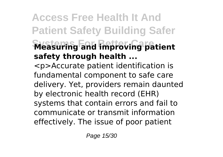# **Access Free Health It And Patient Safety Building Safer Measuring and improving patient safety through health ...** <p>Accurate patient identification is

fundamental component to safe care delivery. Yet, providers remain daunted by electronic health record (EHR) systems that contain errors and fail to communicate or transmit information effectively. The issue of poor patient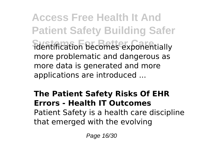**Access Free Health It And Patient Safety Building Safer Systems For Better Care** identification becomes exponentially more problematic and dangerous as more data is generated and more applications are introduced ...

# **The Patient Safety Risks Of EHR Errors - Health IT Outcomes** Patient Safety is a health care discipline that emerged with the evolving

Page 16/30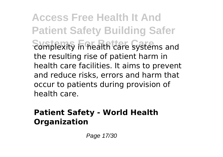**Access Free Health It And Patient Safety Building Safer Somplexity in health care systems and** the resulting rise of patient harm in health care facilities. It aims to prevent and reduce risks, errors and harm that occur to patients during provision of health care.

# **Patient Safety - World Health Organization**

Page 17/30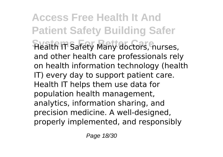**Access Free Health It And Patient Safety Building Safer Health IT Safety Many doctors, nurses,** and other health care professionals rely on health information technology (health IT) every day to support patient care. Health IT helps them use data for population health management, analytics, information sharing, and precision medicine. A well-designed, properly implemented, and responsibly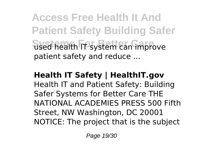**Access Free Health It And Patient Safety Building Safer Used health IT system can improve** patient safety and reduce ...

### **Health IT Safety | HealthIT.gov** Health IT and Patient Safety: Building Safer Systems for Better Care THE NATIONAL ACADEMIES PRESS 500 Fifth Street, NW Washington, DC 20001 NOTICE: The project that is the subject

Page 19/30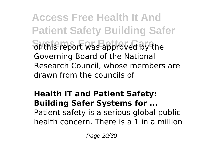**Access Free Health It And Patient Safety Building Safer** of this report was approved by the Governing Board of the National Research Council, whose members are drawn from the councils of

## **Health IT and Patient Safety: Building Safer Systems for ...** Patient safety is a serious global public health concern. There is a 1 in a million

Page 20/30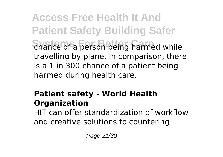**Access Free Health It And Patient Safety Building Safer Shance of a person being harmed while** travelling by plane. In comparison, there is a 1 in 300 chance of a patient being harmed during health care.

# **Patient safety - World Health Organization**

HIT can offer standardization of workflow and creative solutions to countering

Page 21/30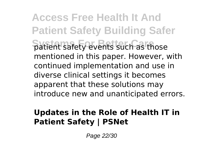**Access Free Health It And Patient Safety Building Safer Patient safety events such as those** mentioned in this paper. However, with continued implementation and use in diverse clinical settings it becomes apparent that these solutions may introduce new and unanticipated errors.

# **Updates in the Role of Health IT in Patient Safety | PSNet**

Page 22/30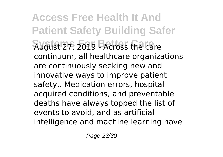**Access Free Health It And Patient Safety Building Safer Systems For Better Care** August 27, 2019 - Across the care continuum, all healthcare organizations are continuously seeking new and innovative ways to improve patient safety.. Medication errors, hospitalacquired conditions, and preventable deaths have always topped the list of events to avoid, and as artificial intelligence and machine learning have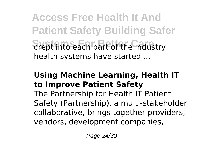**Access Free Health It And Patient Safety Building Safer Stept into each part of the industry,** health systems have started ...

# **Using Machine Learning, Health IT to Improve Patient Safety**

The Partnership for Health IT Patient Safety (Partnership), a multi-stakeholder collaborative, brings together providers, vendors, development companies,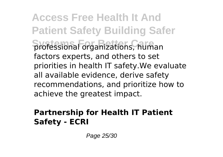**Access Free Health It And Patient Safety Building Safer Systems For Better Care** professional organizations, human factors experts, and others to set priorities in health IT safety.We evaluate all available evidence, derive safety recommendations, and prioritize how to achieve the greatest impact.

# **Partnership for Health IT Patient Safety - ECRI**

Page 25/30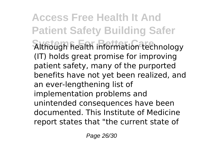**Access Free Health It And Patient Safety Building Safer Sithough health information technology** (IT) holds great promise for improving patient safety, many of the purported benefits have not yet been realized, and an ever-lengthening list of implementation problems and unintended consequences have been documented. This Institute of Medicine report states that "the current state of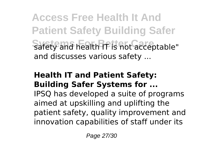**Access Free Health It And Patient Safety Building Safer** Safety and health IT is not acceptable" and discusses various safety ...

#### **Health IT and Patient Safety: Building Safer Systems for ...**

IPSQ has developed a suite of programs aimed at upskilling and uplifting the patient safety, quality improvement and innovation capabilities of staff under its

Page 27/30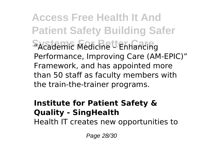**Access Free Health It And Patient Safety Building Safer Systems For Better Care** "Academic Medicine – Enhancing Performance, Improving Care (AM-EPIC)" Framework, and has appointed more than 50 staff as faculty members with the train-the-trainer programs.

#### **Institute for Patient Safety & Quality - SingHealth**

Health IT creates new opportunities to

Page 28/30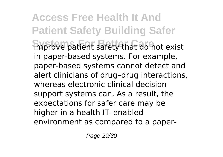**Access Free Health It And Patient Safety Building Safer Improve patient safety that do not exist** in paper-based systems. For example, paper-based systems cannot detect and alert clinicians of drug–drug interactions, whereas electronic clinical decision support systems can. As a result, the expectations for safer care may be higher in a health IT–enabled environment as compared to a paper